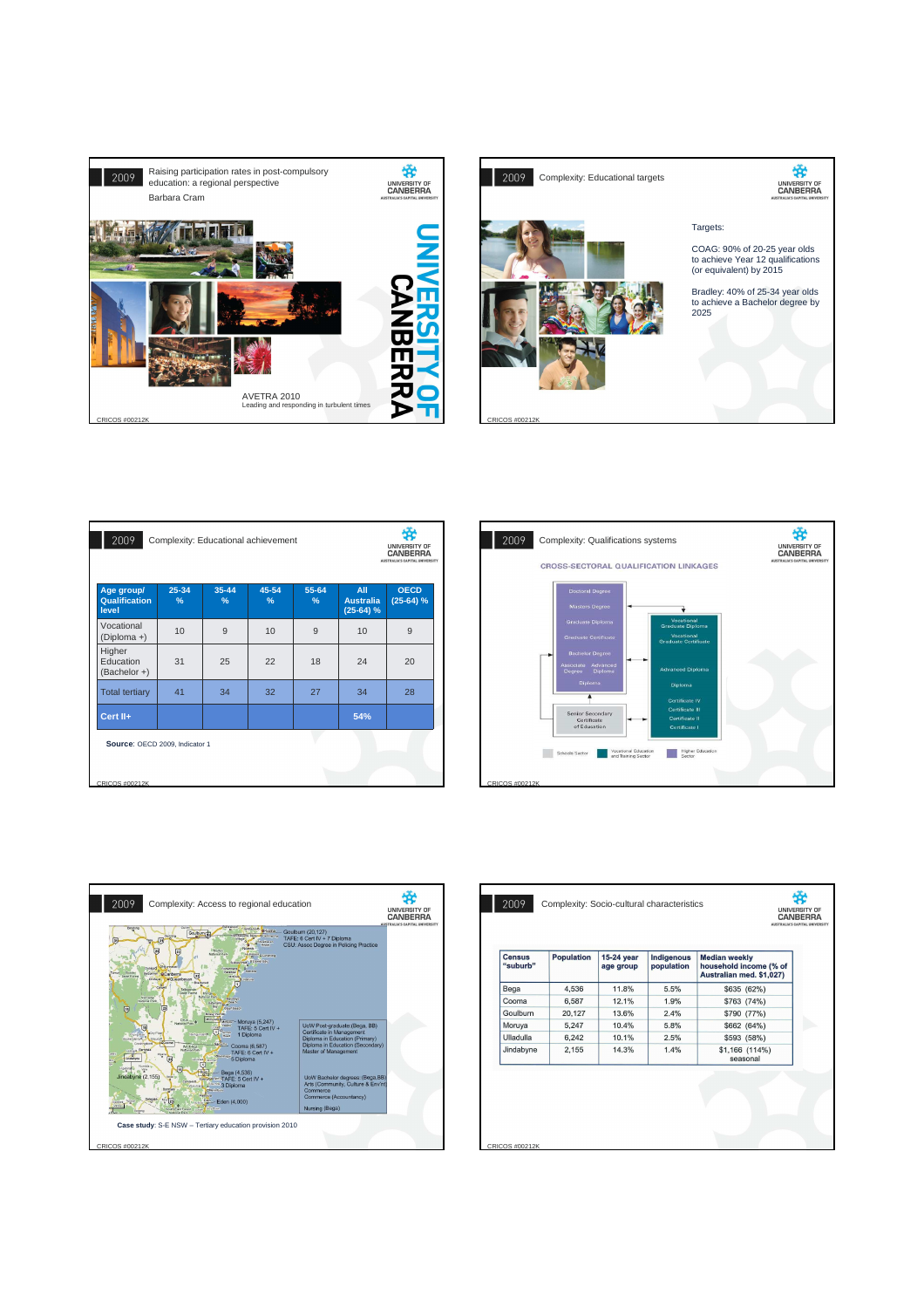



| 2009<br>Complexity: Educational achievement |                   |               |            |                                        |                                |  |  |
|---------------------------------------------|-------------------|---------------|------------|----------------------------------------|--------------------------------|--|--|
| 25-34<br>$\%$                               | $35 - 44$<br>$\%$ | 45-54<br>$\%$ | 55-64<br>% | All<br><b>Australia</b><br>$(25-64)$ % | <b>OECD</b><br>$(25-64)$ %     |  |  |
| 10                                          | 9                 | 10            | 9          | 10                                     | 9                              |  |  |
| 31                                          | 25                | 22            | 18         | 24                                     | 20                             |  |  |
| 41                                          | 34                | 32            | 27         | 34                                     | 28                             |  |  |
|                                             |                   |               |            | 54%                                    |                                |  |  |
| Source: OECD 2009, Indicator 1              |                   |               |            |                                        |                                |  |  |
|                                             |                   |               |            |                                        |                                |  |  |
|                                             |                   |               |            |                                        | AUSTRALIA'S CAPITAL UNIVERSITY |  |  |





| <b>Census</b><br>"suburb" | <b>Population</b> | 15-24 year<br>age group | Indigenous<br>population | <b>Median weekly</b><br>household income (% of<br>Australian med. \$1,027) |
|---------------------------|-------------------|-------------------------|--------------------------|----------------------------------------------------------------------------|
| Bega                      | 4,536             | 11.8%                   | 5.5%                     | \$635 (62%)                                                                |
| Cooma                     | 6.587             | 12.1%                   | 1.9%                     | \$763 (74%)                                                                |
| Goulburn                  | 20.127            | 13.6%                   | 2.4%                     | \$790 (77%)                                                                |
| Moruya                    | 5,247             | 10.4%                   | 5.8%                     | \$662 (64%)                                                                |
| Ulladulla                 | 6,242             | 10.1%                   | 2.5%                     | \$593 (58%)                                                                |
| Jindabyne                 | 2,155             | 14.3%                   | 1.4%                     | \$1,166 (114%)<br>seasonal                                                 |